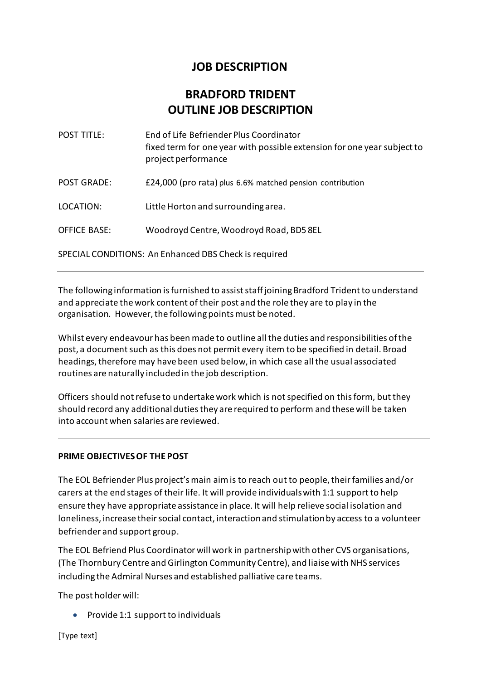# **JOB DESCRIPTION**

# **BRADFORD TRIDENT OUTLINE JOB DESCRIPTION**

| <b>POST TITLE:</b>                                    | End of Life Befriender Plus Coordinator<br>fixed term for one year with possible extension for one year subject to<br>project performance |
|-------------------------------------------------------|-------------------------------------------------------------------------------------------------------------------------------------------|
| <b>POST GRADE:</b>                                    | £24,000 (pro rata) plus 6.6% matched pension contribution                                                                                 |
| LOCATION:                                             | Little Horton and surrounding area.                                                                                                       |
| <b>OFFICE BASE:</b>                                   | Woodroyd Centre, Woodroyd Road, BD5 8EL                                                                                                   |
| SPECIAL CONDITIONS: An Enhanced DBS Check is required |                                                                                                                                           |

The following information is furnished to assist staff joining Bradford Trident to understand and appreciate the work content of their post and the role they are to play in the organisation. However, the following points must be noted.

Whilst every endeavour has been made to outline all the duties and responsibilities of the post, a document such as this does not permit every item to be specified in detail. Broad headings, therefore may have been used below, in which case all the usual associated routines are naturally included in the job description.

Officers should not refuse to undertake work which is not specified on this form, but they should record any additional duties they are required to perform and these will be taken into account when salaries are reviewed.

# **PRIME OBJECTIVES OF THE POST**

The EOL Befriender Plus project's main aim is to reach out to people, their families and/or carers at the end stages of their life. It will provide individuals with 1:1 support to help ensure they have appropriate assistance in place. It will help relieve social isolation and loneliness, increase their social contact, interaction and stimulation by access to a volunteer befriender and support group.

The EOL Befriend Plus Coordinator will work in partnership with other CVS organisations, (The Thornbury Centre and Girlington Community Centre), and liaise with NHS services including the Admiral Nurses and established palliative care teams.

The post holder will:

• Provide 1:1 support to individuals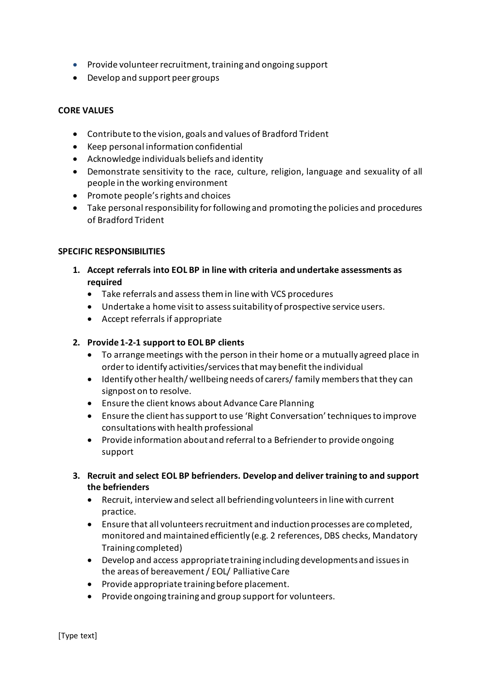- Provide volunteer recruitment, training and ongoing support
- Develop and support peer groups

# **CORE VALUES**

- Contribute to the vision, goals and values of Bradford Trident
- Keep personal information confidential
- Acknowledge individuals beliefs and identity
- Demonstrate sensitivity to the race, culture, religion, language and sexuality of all people in the working environment
- Promote people's rights and choices
- Take personal responsibility for following and promoting the policies and procedures of Bradford Trident

### **SPECIFIC RESPONSIBILITIES**

- **1. Accept referrals into EOL BP in line with criteria and undertake assessments as required** 
	- Take referrals and assess them in line with VCS procedures
	- Undertake a home visit to assess suitability of prospective service users.
	- Accept referrals if appropriate

## **2. Provide 1-2-1 support to EOL BP clients**

- To arrange meetings with the person in their home or a mutually agreed place in order to identify activities/services that may benefit the individual
- Identify other health/ wellbeing needs of carers/ family members that they can signpost on to resolve.
- Ensure the client knows about Advance Care Planning
- Ensure the client has support to use 'Right Conversation' techniques to improve consultations with health professional
- Provide information about and referral to a Befriender to provide ongoing support
- **3. Recruit and select EOL BP befrienders. Develop and deliver training to and support the befrienders** 
	- Recruit, interview and select all befriending volunteers in line with current practice.
	- Ensure that all volunteers recruitment and induction processes are completed, monitored and maintained efficiently (e.g. 2 references, DBS checks, Mandatory Training completed)
	- Develop and access appropriate training including developments and issues in the areas of bereavement / EOL/ Palliative Care
	- Provide appropriate training before placement.
	- Provide ongoing training and group support for volunteers.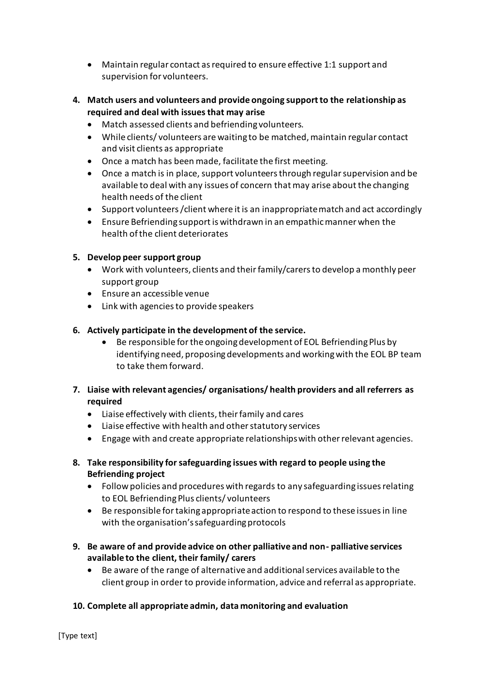- Maintain regular contact as required to ensure effective 1:1 support and supervision for volunteers.
- **4. Match users and volunteers and provide ongoing support to the relationship as required and deal with issues that may arise**
	- Match assessed clients and befriending volunteers.
	- While clients/ volunteers are waiting to be matched, maintain regular contact and visit clients as appropriate
	- Once a match has been made, facilitate the first meeting.
	- Once a match is in place, support volunteers through regular supervision and be available to deal with any issues of concern that may arise about the changing health needs of the client
	- Support volunteers /client where it is an inappropriate match and act accordingly
	- Ensure Befriending support is withdrawn in an empathic manner when the health of the client deteriorates

# **5. Develop peer support group**

- Work with volunteers, clients and their family/carers to develop a monthly peer support group
- Ensure an accessible venue
- Link with agencies to provide speakers

### **6. Actively participate in the development of the service.**

- Be responsible for the ongoing development of EOL Befriending Plus by identifying need, proposing developments and working with the EOL BP team to take them forward.
- **7. Liaise with relevant agencies/ organisations/ health providers and all referrers as required** 
	- Liaise effectively with clients, their family and cares
	- Liaise effective with health and other statutory services
	- Engage with and create appropriate relationships with other relevant agencies.
- **8. Take responsibility for safeguarding issues with regard to people using the Befriending project** 
	- Follow policies and procedures with regards to any safeguarding issues relating to EOL Befriending Plus clients/ volunteers
	- Be responsible for taking appropriate action to respond to these issues in line with the organisation's safeguarding protocols
- **9. Be aware of and provide advice on other palliative and non- palliative services available to the client, their family/ carers**
	- Be aware of the range of alternative and additional services available to the client group in order to provide information, advice and referral as appropriate.

# **10. Complete all appropriate admin, data monitoring and evaluation**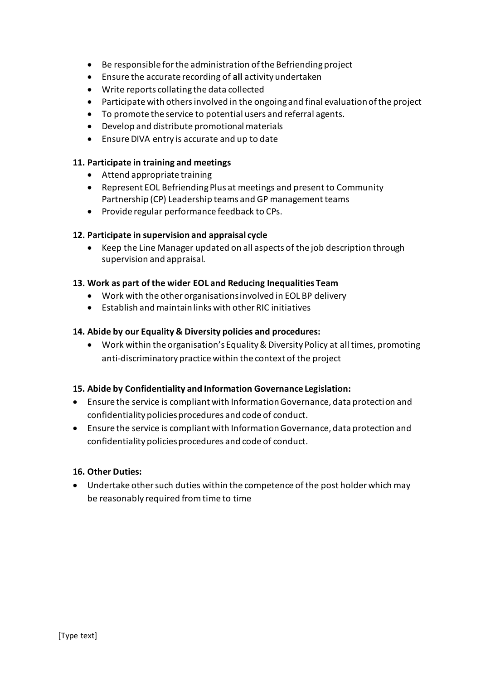- Be responsible for the administration of the Befriending project
- Ensure the accurate recording of **all** activity undertaken
- Write reports collating the data collected
- Participate with others involved in the ongoing and final evaluation of the project
- To promote the service to potential users and referral agents.
- Develop and distribute promotional materials
- Ensure DIVA entry is accurate and up to date

## **11. Participate in training and meetings**

- Attend appropriate training
- Represent EOL Befriending Plus at meetings and present to Community Partnership (CP) Leadership teams and GP management teams
- Provide regular performance feedback to CPs.

### **12. Participate in supervision and appraisal cycle**

• Keep the Line Manager updated on all aspects of the job description through supervision and appraisal.

# **13. Work as part of the wider EOL and Reducing Inequalities Team**

- Work with the other organisations involved in EOL BP delivery
- Establish and maintain links with other RIC initiatives

### **14. Abide by our Equality & Diversity policies and procedures:**

• Work within the organisation's Equality & Diversity Policy at all times, promoting anti-discriminatory practice within the context of the project

#### **15. Abide by Confidentiality and Information Governance Legislation:**

- Ensure the service is compliant with Information Governance, data protection and confidentiality policies procedures and code of conduct.
- Ensure the service is compliant with Information Governance, data protection and confidentiality policies procedures and code of conduct.

#### **16. Other Duties:**

• Undertake other such duties within the competence of the post holder which may be reasonably required from time to time